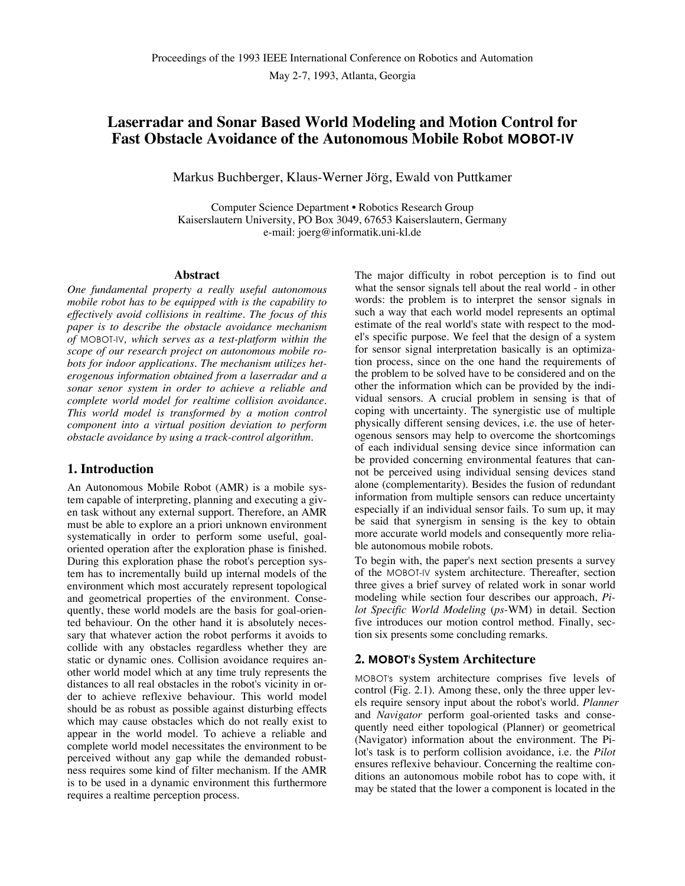May 2-7, 1993, Atlanta, Georgia

# **Laserradar and Sonar Based World Modeling and Motion Control for Fast Obstacle Avoidance of the Autonomous Mobile Robot** MOBOT-IV

Markus Buchberger, Klaus-Werner Jörg, Ewald von Puttkamer

Computer Science Department • Robotics Research Group Kaiserslautern University, PO Box 3049, 67653 Kaiserslautern, Germany e-mail: joerg@informatik.uni-kl.de

#### **Abstract**

*One fundamental property a really useful autonomous mobile robot has to be equipped with is the capability to effectively avoid collisions in realtime. The focus of this paper is to describe the obstacle avoidance mechanism of* MOBOT-IV*, which serves as a test-platform within the scope of our research project on autonomous mobile robots for indoor applications. The mechanism utilizes heterogenous information obtained from a laserradar and a sonar senor system in order to achieve a reliable and complete world model for realtime collision avoidance. This world model is transformed by a motion control component into a virtual position deviation to perform obstacle avoidance by using a track-control algorithm.*

## **1. Introduction**

An Autonomous Mobile Robot (AMR) is a mobile system capable of interpreting, planning and executing a given task without any external support. Therefore, an AMR must be able to explore an a priori unknown environment systematically in order to perform some useful, goaloriented operation after the exploration phase is finished. During this exploration phase the robot's perception system has to incrementally build up internal models of the environment which most accurately represent topological and geometrical properties of the environment. Consequently, these world models are the basis for goal-oriented behaviour. On the other hand it is absolutely necessary that whatever action the robot performs it avoids to collide with any obstacles regardless whether they are static or dynamic ones. Collision avoidance requires another world model which at any time truly represents the distances to all real obstacles in the robot's vicinity in order to achieve reflexive behaviour. This world model should be as robust as possible against disturbing effects which may cause obstacles which do not really exist to appear in the world model. To achieve a reliable and complete world model necessitates the environment to be perceived without any gap while the demanded robustness requires some kind of filter mechanism. If the AMR is to be used in a dynamic environment this furthermore requires a realtime perception process.

The major difficulty in robot perception is to find out what the sensor signals tell about the real world - in other words: the problem is to interpret the sensor signals in such a way that each world model represents an optimal estimate of the real world's state with respect to the model's specific purpose. We feel that the design of a system for sensor signal interpretation basically is an optimization process, since on the one hand the requirements of the problem to be solved have to be considered and on the other the information which can be provided by the individual sensors. A crucial problem in sensing is that of coping with uncertainty. The synergistic use of multiple physically different sensing devices, i.e. the use of heterogenous sensors may help to overcome the shortcomings of each individual sensing device since information can be provided concerning environmental features that cannot be perceived using individual sensing devices stand alone (complementarity). Besides the fusion of redundant information from multiple sensors can reduce uncertainty especially if an individual sensor fails. To sum up, it may be said that synergism in sensing is the key to obtain more accurate world models and consequently more reliable autonomous mobile robots.

To begin with, the paper's next section presents a survey of the MOBOT-IV system architecture. Thereafter, section three gives a brief survey of related work in sonar world modeling while section four describes our approach, *Pilot Specific World Modeling* (*ps*-WM) in detail. Section five introduces our motion control method. Finally, section six presents some concluding remarks.

## **2.** MOBOT's **System Architecture**

MOBOT's system architecture comprises five levels of control (Fig. 2.1). Among these, only the three upper levels require sensory input about the robot's world. *Planner* and *Navigator* perform goal-oriented tasks and consequently need either topological (Planner) or geometrical (Navigator) information about the environment. The Pilot's task is to perform collision avoidance, i.e. the *Pilot* ensures reflexive behaviour. Concerning the realtime conditions an autonomous mobile robot has to cope with, it may be stated that the lower a component is located in the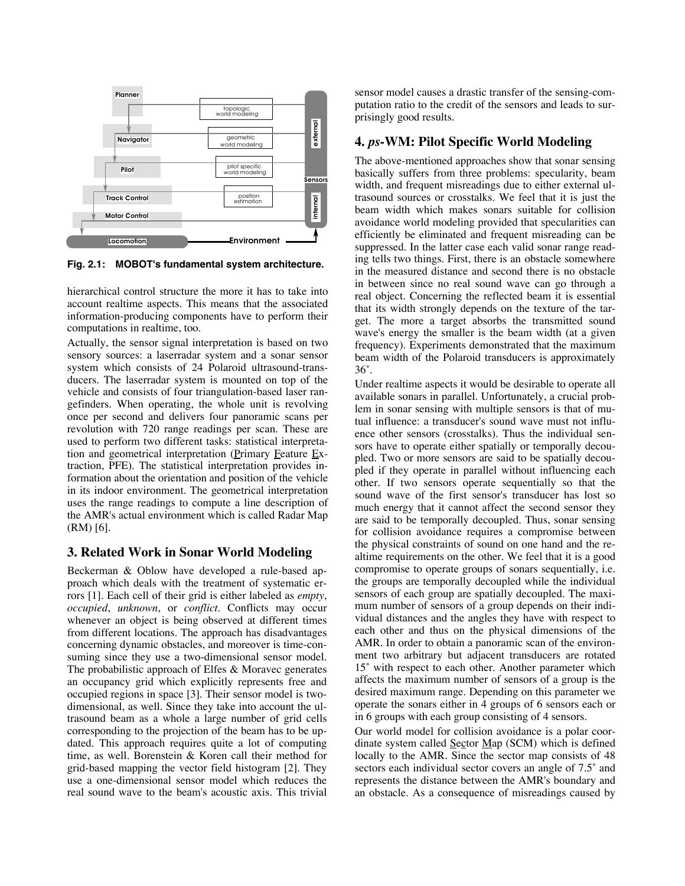

**Fig. 2.1: MOBOT's fundamental system architecture.**

hierarchical control structure the more it has to take into account realtime aspects. This means that the associated information-producing components have to perform their computations in realtime, too.

Actually, the sensor signal interpretation is based on two sensory sources: a laserradar system and a sonar sensor system which consists of 24 Polaroid ultrasound-transducers. The laserradar system is mounted on top of the vehicle and consists of four triangulation-based laser rangefinders. When operating, the whole unit is revolving once per second and delivers four panoramic scans per revolution with 720 range readings per scan. These are used to perform two different tasks: statistical interpretation and geometrical interpretation (Primary Feature  $Ex$ traction, PFE). The statistical interpretation provides information about the orientation and position of the vehicle in its indoor environment. The geometrical interpretation uses the range readings to compute a line description of the AMR's actual environment which is called Radar Map (RM) [6].

### **3. Related Work in Sonar World Modeling**

Beckerman & Oblow have developed a rule-based approach which deals with the treatment of systematic errors [1]. Each cell of their grid is either labeled as *empty*, *occupied*, *unknown*, or *conflict*. Conflicts may occur whenever an object is being observed at different times from different locations. The approach has disadvantages concerning dynamic obstacles, and moreover is time-consuming since they use a two-dimensional sensor model. The probabilistic approach of Elfes & Moravec generates an occupancy grid which explicitly represents free and occupied regions in space [3]. Their sensor model is twodimensional, as well. Since they take into account the ultrasound beam as a whole a large number of grid cells corresponding to the projection of the beam has to be updated. This approach requires quite a lot of computing time, as well. Borenstein & Koren call their method for grid-based mapping the vector field histogram [2]. They use a one-dimensional sensor model which reduces the real sound wave to the beam's acoustic axis. This trivial

sensor model causes a drastic transfer of the sensing-computation ratio to the credit of the sensors and leads to surprisingly good results.

### **4.** *ps***-WM: Pilot Specific World Modeling**

The above-mentioned approaches show that sonar sensing basically suffers from three problems: specularity, beam width, and frequent misreadings due to either external ultrasound sources or crosstalks. We feel that it is just the beam width which makes sonars suitable for collision avoidance world modeling provided that specularities can efficiently be eliminated and frequent misreading can be suppressed. In the latter case each valid sonar range reading tells two things. First, there is an obstacle somewhere in the measured distance and second there is no obstacle in between since no real sound wave can go through a real object. Concerning the reflected beam it is essential that its width strongly depends on the texture of the target. The more a target absorbs the transmitted sound wave's energy the smaller is the beam width (at a given frequency). Experiments demonstrated that the maximum beam width of the Polaroid transducers is approximately 36˚.

Under realtime aspects it would be desirable to operate all available sonars in parallel. Unfortunately, a crucial problem in sonar sensing with multiple sensors is that of mutual influence: a transducer's sound wave must not influence other sensors (crosstalks). Thus the individual sensors have to operate either spatially or temporally decoupled. Two or more sensors are said to be spatially decoupled if they operate in parallel without influencing each other. If two sensors operate sequentially so that the sound wave of the first sensor's transducer has lost so much energy that it cannot affect the second sensor they are said to be temporally decoupled. Thus, sonar sensing for collision avoidance requires a compromise between the physical constraints of sound on one hand and the realtime requirements on the other. We feel that it is a good compromise to operate groups of sonars sequentially, i.e. the groups are temporally decoupled while the individual sensors of each group are spatially decoupled. The maximum number of sensors of a group depends on their individual distances and the angles they have with respect to each other and thus on the physical dimensions of the AMR. In order to obtain a panoramic scan of the environment two arbitrary but adjacent transducers are rotated 15° with respect to each other. Another parameter which affects the maximum number of sensors of a group is the desired maximum range. Depending on this parameter we operate the sonars either in 4 groups of 6 sensors each or in 6 groups with each group consisting of 4 sensors.

Our world model for collision avoidance is a polar coordinate system called  $S$ ector  $Map$  (SCM) which is defined locally to the AMR. Since the sector map consists of 48 sectors each individual sector covers an angle of 7.5˚ and represents the distance between the AMR's boundary and an obstacle. As a consequence of misreadings caused by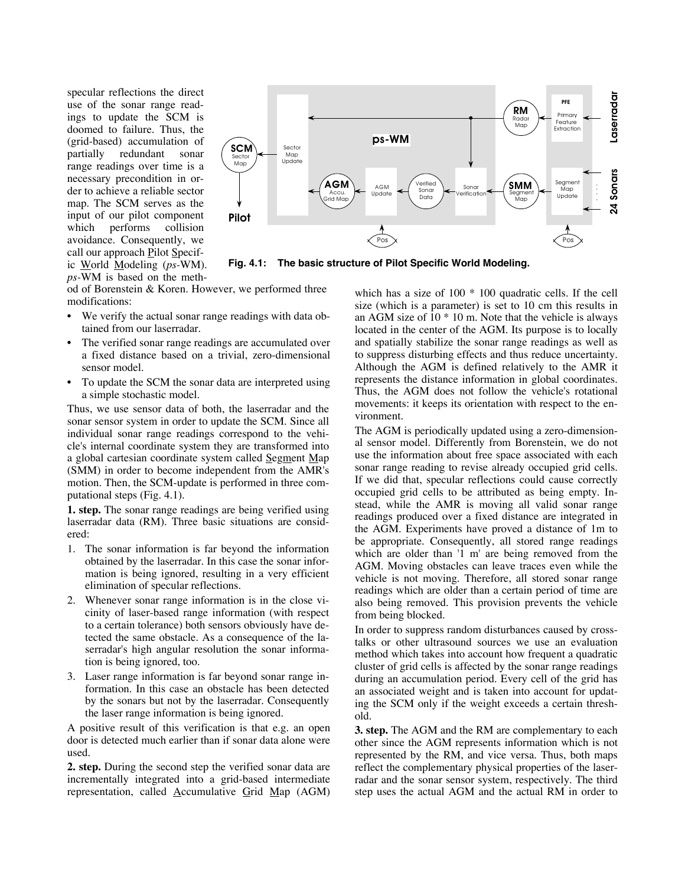specular reflections the direct use of the sonar range readings to update the SCM is doomed to failure. Thus, the (grid-based) accumulation of partially redundant sonar range readings over time is a necessary precondition in order to achieve a reliable sector map. The SCM serves as the input of our pilot component which performs collision avoidance. Consequently, we call our approach Pilot Specific World Modeling (*ps-*WM). *ps-*WM is based on the meth-



**Fig. 4.1: The basic structure of Pilot Specific World Modeling.**

od of Borenstein & Koren. However, we performed three modifications:

- We verify the actual sonar range readings with data obtained from our laserradar.
- The verified sonar range readings are accumulated over a fixed distance based on a trivial, zero-dimensional sensor model.
- To update the SCM the sonar data are interpreted using a simple stochastic model.

Thus, we use sensor data of both, the laserradar and the sonar sensor system in order to update the SCM. Since all individual sonar range readings correspond to the vehicle's internal coordinate system they are transformed into a global cartesian coordinate system called Segment Map (SMM) in order to become independent from the AMR's motion. Then, the SCM-update is performed in three computational steps (Fig. 4.1).

**1. step.** The sonar range readings are being verified using laserradar data (RM). Three basic situations are considered:

- 1. The sonar information is far beyond the information obtained by the laserradar. In this case the sonar information is being ignored, resulting in a very efficient elimination of specular reflections.
- 2. Whenever sonar range information is in the close vicinity of laser-based range information (with respect to a certain tolerance) both sensors obviously have detected the same obstacle. As a consequence of the laserradar's high angular resolution the sonar information is being ignored, too.
- 3. Laser range information is far beyond sonar range information. In this case an obstacle has been detected by the sonars but not by the laserradar. Consequently the laser range information is being ignored.

A positive result of this verification is that e.g. an open door is detected much earlier than if sonar data alone were used.

**2. step.** During the second step the verified sonar data are incrementally integrated into a grid-based intermediate representation, called Accumulative Grid Map (AGM)

which has a size of 100  $*$  100 quadratic cells. If the cell size (which is a parameter) is set to 10 cm this results in an AGM size of 10 \* 10 m. Note that the vehicle is always located in the center of the AGM. Its purpose is to locally and spatially stabilize the sonar range readings as well as to suppress disturbing effects and thus reduce uncertainty. Although the AGM is defined relatively to the AMR it represents the distance information in global coordinates. Thus, the AGM does not follow the vehicle's rotational movements: it keeps its orientation with respect to the environment.

The AGM is periodically updated using a zero-dimensional sensor model. Differently from Borenstein, we do not use the information about free space associated with each sonar range reading to revise already occupied grid cells. If we did that, specular reflections could cause correctly occupied grid cells to be attributed as being empty. Instead, while the AMR is moving all valid sonar range readings produced over a fixed distance are integrated in the AGM. Experiments have proved a distance of 1m to be appropriate. Consequently, all stored range readings which are older than '1 m' are being removed from the AGM. Moving obstacles can leave traces even while the vehicle is not moving. Therefore, all stored sonar range readings which are older than a certain period of time are also being removed. This provision prevents the vehicle from being blocked.

In order to suppress random disturbances caused by crosstalks or other ultrasound sources we use an evaluation method which takes into account how frequent a quadratic cluster of grid cells is affected by the sonar range readings during an accumulation period. Every cell of the grid has an associated weight and is taken into account for updating the SCM only if the weight exceeds a certain threshold.

**3. step.** The AGM and the RM are complementary to each other since the AGM represents information which is not represented by the RM, and vice versa. Thus, both maps reflect the complementary physical properties of the laserradar and the sonar sensor system, respectively. The third step uses the actual AGM and the actual RM in order to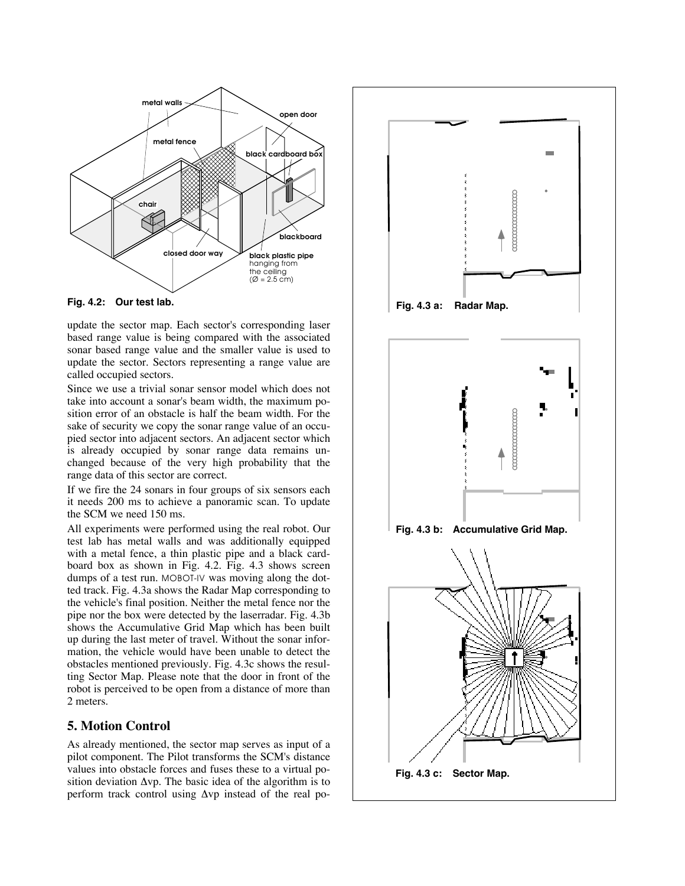



update the sector map. Each sector's corresponding laser based range value is being compared with the associated sonar based range value and the smaller value is used to update the sector. Sectors representing a range value are called occupied sectors.

Since we use a trivial sonar sensor model which does not take into account a sonar's beam width, the maximum position error of an obstacle is half the beam width. For the sake of security we copy the sonar range value of an occupied sector into adjacent sectors. An adjacent sector which is already occupied by sonar range data remains unchanged because of the very high probability that the range data of this sector are correct.

If we fire the 24 sonars in four groups of six sensors each it needs 200 ms to achieve a panoramic scan. To update the SCM we need 150 ms.

All experiments were performed using the real robot. Our test lab has metal walls and was additionally equipped with a metal fence, a thin plastic pipe and a black cardboard box as shown in Fig. 4.2. Fig. 4.3 shows screen dumps of a test run. MOBOT-IV was moving along the dotted track. Fig. 4.3a shows the Radar Map corresponding to the vehicle's final position. Neither the metal fence nor the pipe nor the box were detected by the laserradar. Fig. 4.3b shows the Accumulative Grid Map which has been built up during the last meter of travel. Without the sonar information, the vehicle would have been unable to detect the obstacles mentioned previously. Fig. 4.3c shows the resulting Sector Map. Please note that the door in front of the robot is perceived to be open from a distance of more than 2 meters.

#### **5. Motion Control**

As already mentioned, the sector map serves as input of a pilot component. The Pilot transforms the SCM's distance values into obstacle forces and fuses these to a virtual position deviation  $\Delta$ vp. The basic idea of the algorithm is to perform track control using  $\Delta$ vp instead of the real po-

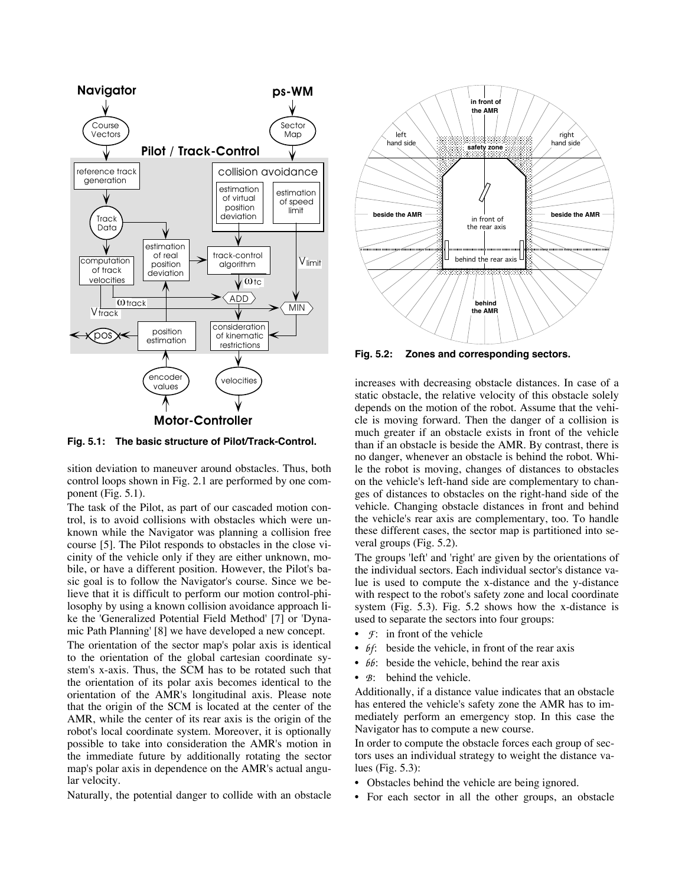

**Fig. 5.1: The basic structure of Pilot/Track-Control.**

sition deviation to maneuver around obstacles. Thus, both control loops shown in Fig. 2.1 are performed by one component (Fig. 5.1).

The task of the Pilot, as part of our cascaded motion control, is to avoid collisions with obstacles which were unknown while the Navigator was planning a collision free course [5]. The Pilot responds to obstacles in the close vicinity of the vehicle only if they are either unknown, mobile, or have a different position. However, the Pilot's basic goal is to follow the Navigator's course. Since we believe that it is difficult to perform our motion control-philosophy by using a known collision avoidance approach like the 'Generalized Potential Field Method' [7] or 'Dynamic Path Planning' [8] we have developed a new concept.

The orientation of the sector map's polar axis is identical to the orientation of the global cartesian coordinate system's x-axis. Thus, the SCM has to be rotated such that the orientation of its polar axis becomes identical to the orientation of the AMR's longitudinal axis. Please note that the origin of the SCM is located at the center of the AMR, while the center of its rear axis is the origin of the robot's local coordinate system. Moreover, it is optionally possible to take into consideration the AMR's motion in the immediate future by additionally rotating the sector map's polar axis in dependence on the AMR's actual angular velocity.

Naturally, the potential danger to collide with an obstacle



**Fig. 5.2: Zones and corresponding sectors.**

increases with decreasing obstacle distances. In case of a static obstacle, the relative velocity of this obstacle solely depends on the motion of the robot. Assume that the vehicle is moving forward. Then the danger of a collision is much greater if an obstacle exists in front of the vehicle than if an obstacle is beside the AMR. By contrast, there is no danger, whenever an obstacle is behind the robot. While the robot is moving, changes of distances to obstacles on the vehicle's left-hand side are complementary to changes of distances to obstacles on the right-hand side of the vehicle. Changing obstacle distances in front and behind the vehicle's rear axis are complementary, too. To handle these different cases, the sector map is partitioned into several groups (Fig. 5.2).

The groups 'left' and 'right' are given by the orientations of the individual sectors. Each individual sector's distance value is used to compute the x-distance and the y-distance with respect to the robot's safety zone and local coordinate system (Fig. 5.3). Fig. 5.2 shows how the x-distance is used to separate the sectors into four groups:

- $\mathcal{F}$ : in front of the vehicle
- *bf*: beside the vehicle, in front of the rear axis
- *bb*: beside the vehicle, behind the rear axis
- *B*: behind the vehicle.

Additionally, if a distance value indicates that an obstacle has entered the vehicle's safety zone the AMR has to immediately perform an emergency stop. In this case the Navigator has to compute a new course.

In order to compute the obstacle forces each group of sectors uses an individual strategy to weight the distance values (Fig. 5.3):

- Obstacles behind the vehicle are being ignored.
- For each sector in all the other groups, an obstacle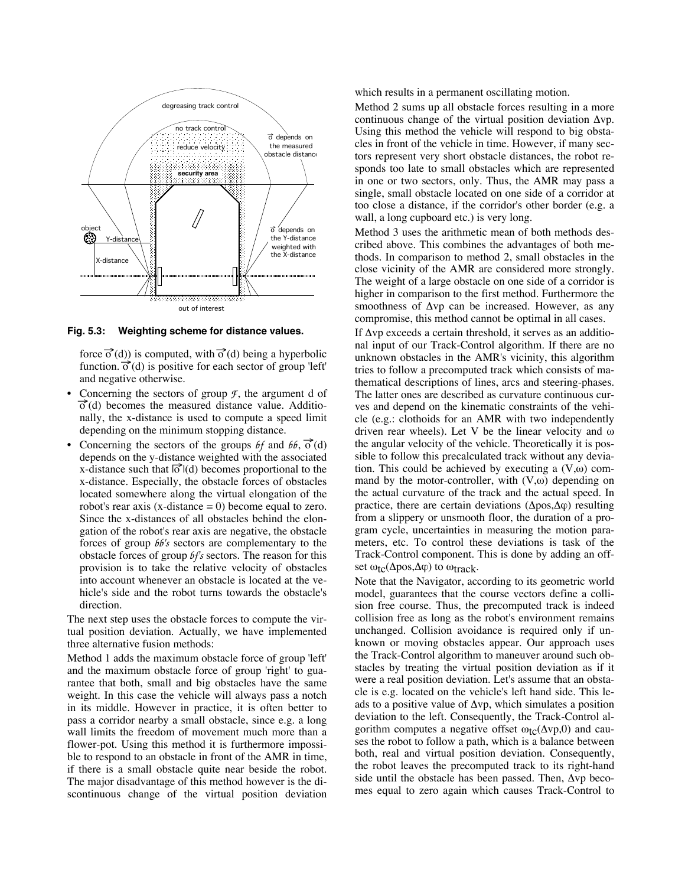

**Fig. 5.3: Weighting scheme for distance values.**

force  $\vec{o}(d)$ ) is computed, with  $\vec{o}(d)$  being a hyperbolic function.  $\vec{\sigma}$ (d) is positive for each sector of group 'left' and negative otherwise.

- Concerning the sectors of group  $\mathcal{F}$ , the argument d of  $\overrightarrow{O}(d)$  becomes the measured distance value. Additionally, the x-distance is used to compute a speed limit depending on the minimum stopping distance.
- Concerning the sectors of the groups  $bf$  and  $bf$ ,  $\vec{o}$  (d) depends on the y-distance weighted with the associated x-distance such that  $\vec{0}$   $\vec{0}$  becomes proportional to the x-distance. Especially, the obstacle forces of obstacles located somewhere along the virtual elongation of the robot's rear axis (x-distance  $= 0$ ) become equal to zero. Since the x-distances of all obstacles behind the elongation of the robot's rear axis are negative, the obstacle forces of group *bb's* sectors are complementary to the obstacle forces of group *bf's* sectors. The reason for this provision is to take the relative velocity of obstacles into account whenever an obstacle is located at the vehicle's side and the robot turns towards the obstacle's direction.

The next step uses the obstacle forces to compute the virtual position deviation. Actually, we have implemented three alternative fusion methods:

Method 1 adds the maximum obstacle force of group 'left' and the maximum obstacle force of group 'right' to guarantee that both, small and big obstacles have the same weight. In this case the vehicle will always pass a notch in its middle. However in practice, it is often better to pass a corridor nearby a small obstacle, since e.g. a long wall limits the freedom of movement much more than a flower-pot. Using this method it is furthermore impossible to respond to an obstacle in front of the AMR in time, if there is a small obstacle quite near beside the robot. The major disadvantage of this method however is the discontinuous change of the virtual position deviation

which results in a permanent oscillating motion.

Method 2 sums up all obstacle forces resulting in a more continuous change of the virtual position deviation  $\Delta$ vp. Using this method the vehicle will respond to big obstacles in front of the vehicle in time. However, if many sectors represent very short obstacle distances, the robot responds too late to small obstacles which are represented in one or two sectors, only. Thus, the AMR may pass a single, small obstacle located on one side of a corridor at too close a distance, if the corridor's other border (e.g. a wall, a long cupboard etc.) is very long.

Method 3 uses the arithmetic mean of both methods described above. This combines the advantages of both methods. In comparison to method 2, small obstacles in the close vicinity of the AMR are considered more strongly. The weight of a large obstacle on one side of a corridor is higher in comparison to the first method. Furthermore the smoothness of  $\Delta v$ p can be increased. However, as any compromise, this method cannot be optimal in all cases.

If  $\Delta$ vp exceeds a certain threshold, it serves as an additional input of our Track-Control algorithm. If there are no unknown obstacles in the AMR's vicinity, this algorithm tries to follow a precomputed track which consists of mathematical descriptions of lines, arcs and steering-phases. The latter ones are described as curvature continuous curves and depend on the kinematic constraints of the vehicle (e.g.: clothoids for an AMR with two independently driven rear wheels). Let V be the linear velocity and  $\omega$ the angular velocity of the vehicle. Theoretically it is possible to follow this precalculated track without any deviation. This could be achieved by executing a  $(V,\omega)$  command by the motor-controller, with  $(V,\omega)$  depending on the actual curvature of the track and the actual speed. In practice, there are certain deviations  $(\Delta pos, \Delta \varphi)$  resulting from a slippery or unsmooth floor, the duration of a program cycle, uncertainties in measuring the motion parameters, etc. To control these deviations is task of the Track-Control component. This is done by adding an offset  $\omega_{\text{tc}}(\Delta \text{pos}, \Delta \varphi)$  to  $\omega_{\text{track}}$ .

Note that the Navigator, according to its geometric world model, guarantees that the course vectors define a collision free course. Thus, the precomputed track is indeed collision free as long as the robot's environment remains unchanged. Collision avoidance is required only if unknown or moving obstacles appear. Our approach uses the Track-Control algorithm to maneuver around such obstacles by treating the virtual position deviation as if it were a real position deviation. Let's assume that an obstacle is e.g. located on the vehicle's left hand side. This leads to a positive value of  $\Delta v$ , which simulates a position deviation to the left. Consequently, the Track-Control algorithm computes a negative offset  $\omega_{\text{tc}}(\Delta \text{vp},0)$  and causes the robot to follow a path, which is a balance between both, real and virtual position deviation. Consequently, the robot leaves the precomputed track to its right-hand side until the obstacle has been passed. Then,  $\Delta v$  becomes equal to zero again which causes Track-Control to